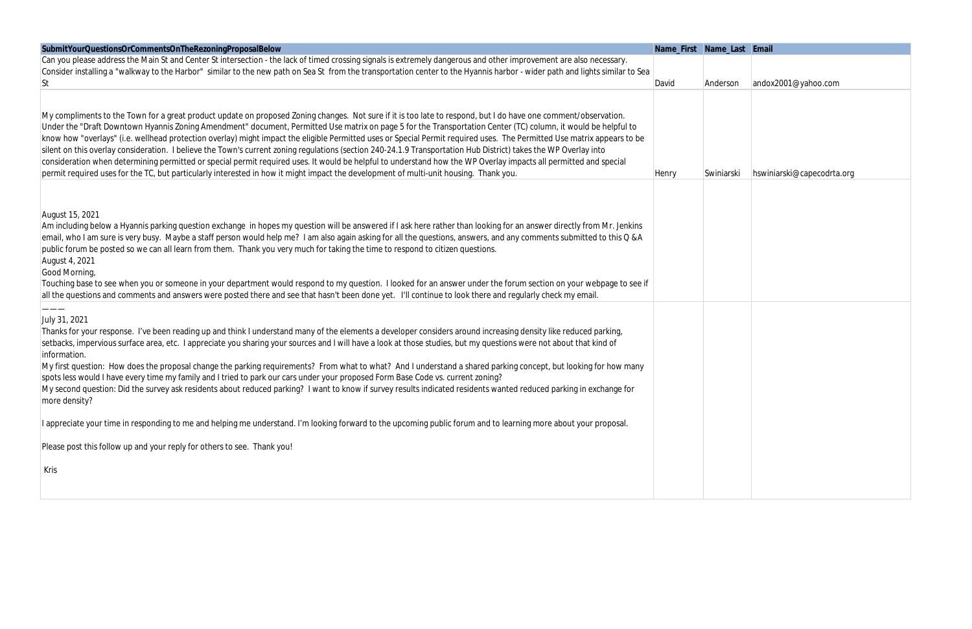| SubmitYourQuestionsOrCommentsOnTheRezoningProposalBelow                                                                                                                          | Name_First Name_Last Email |           |                            |
|----------------------------------------------------------------------------------------------------------------------------------------------------------------------------------|----------------------------|-----------|----------------------------|
| Can you please address the Main St and Center St intersection - the lack of timed crossing signals is extremely dangerous and other improvement are also necessary.              |                            |           |                            |
| Consider installing a "walkway to the Harbor" similar to the new path on Sea St from the transportation center to the Hyannis harbor - wider path and lights similar to Sea      |                            |           |                            |
| St                                                                                                                                                                               | David                      | Anderson  | andox2001@yahoo.com        |
|                                                                                                                                                                                  |                            |           |                            |
| My compliments to the Town for a great product update on proposed Zoning changes. Not sure if it is too late to respond, but I do have one comment/observation.                  |                            |           |                            |
| Under the "Draft Downtown Hyannis Zoning Amendment" document, Permitted Use matrix on page 5 for the Transportation Center (TC) column, it would be helpful to                   |                            |           |                            |
| know how "overlays" (i.e. wellhead protection overlay) might impact the eligible Permitted uses or Special Permit required uses. The Permitted Use matrix appears to be          |                            |           |                            |
| silent on this overlay consideration. I believe the Town's current zoning regulations (section 240-24.1.9 Transportation Hub District) takes the WP Overlay into                 |                            |           |                            |
| consideration when determining permitted or special permit required uses. It would be helpful to understand how the WP Overlay impacts all permitted and special                 |                            |           |                            |
| permit required uses for the TC, but particularly interested in how it might impact the development of multi-unit housing. Thank you.                                            | Henry                      | Swiniarsk | hswiniarski@capecodrta.org |
|                                                                                                                                                                                  |                            |           |                            |
| August 15, 2021                                                                                                                                                                  |                            |           |                            |
| Am including below a Hyannis parking question exchange in hopes my question will be answered if I ask here rather than looking for an answer directly from Mr. Jenkins           |                            |           |                            |
| email, who I am sure is very busy. Maybe a staff person would help me? I am also again asking for all the questions, answers, and any comments submitted to this Q &A            |                            |           |                            |
| public forum be posted so we can all learn from them. Thank you very much for taking the time to respond to citizen questions.                                                   |                            |           |                            |
| August 4, 2021                                                                                                                                                                   |                            |           |                            |
| Good Morning,                                                                                                                                                                    |                            |           |                            |
| Touching base to see when you or someone in your department would respond to my question. I looked for an answer under the forum section on your webpage to see if               |                            |           |                            |
| all the questions and comments and answers were posted there and see that hasn't been done yet. I'll continue to look there and regularly check my email.                        |                            |           |                            |
|                                                                                                                                                                                  |                            |           |                            |
| July 31, 2021                                                                                                                                                                    |                            |           |                            |
| Thanks for your response. I've been reading up and think I understand many of the elements a developer considers around increasing density like reduced parking,                 |                            |           |                            |
| setbacks, impervious surface area, etc. I appreciate you sharing your sources and I will have a look at those studies, but my questions were not about that kind of              |                            |           |                            |
| information.<br>My first question: How does the proposal change the parking requirements? From what to what? And I understand a shared parking concept, but looking for how many |                            |           |                            |
| spots less would I have every time my family and I tried to park our cars under your proposed Form Base Code vs. current zoning?                                                 |                            |           |                            |
| My second question: Did the survey ask residents about reduced parking? I want to know if survey results indicated residents wanted reduced parking in exchange for              |                            |           |                            |
| more density?                                                                                                                                                                    |                            |           |                            |
|                                                                                                                                                                                  |                            |           |                            |
| I appreciate your time in responding to me and helping me understand. I'm looking forward to the upcoming public forum and to learning more about your proposal.                 |                            |           |                            |
| Please post this follow up and your reply for others to see. Thank you!                                                                                                          |                            |           |                            |
| Kris                                                                                                                                                                             |                            |           |                            |
|                                                                                                                                                                                  |                            |           |                            |
|                                                                                                                                                                                  |                            |           |                            |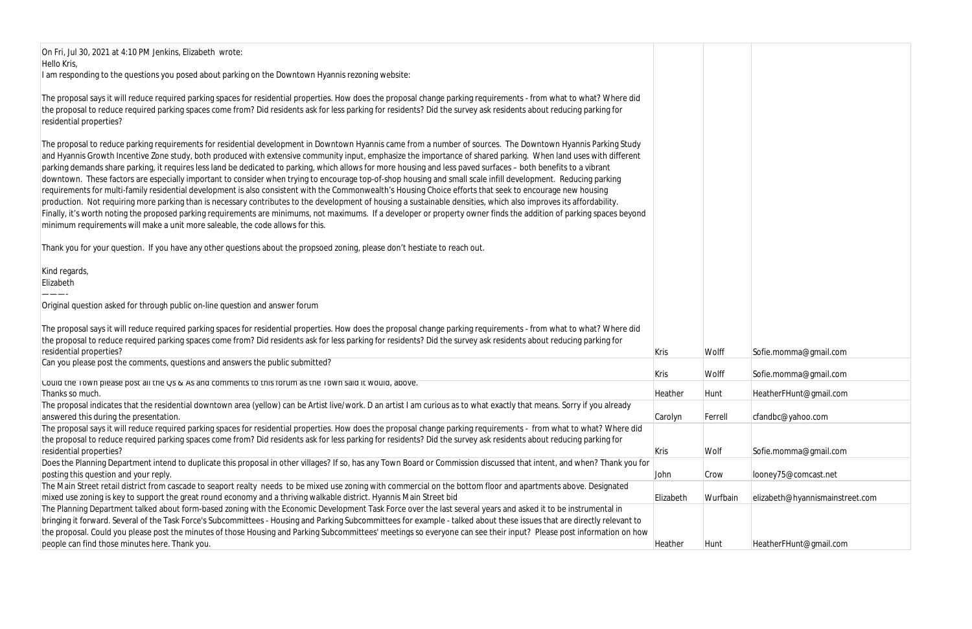On Fri, Jul 30, 2021 at 4:10 PM Jenkins, Elizabeth wrote: Hello Kris, I am responding to the questions you posed about parking on the Downtown Hyannis rezoning website:

The proposal says it will reduce required parking spaces for residential properties. How does the proposal change parking requirements - from what to what? Where did the proposal to reduce required parking spaces come from? Did residents ask for less parking for residents? Did the survey ask residents about reducing parking for residential properties?

The proposal to reduce parking requirements for residential development in Downtown Hyannis came from a number of sources. The Downtown Hyannis Parking Study and Hyannis Growth Incentive Zone study, both produced with extensive community input, emphasize the importance of shared parking. When land uses with different parking demands share parking, it requires less land be dedicated to parking, which allows for more housing and less paved surfaces – both benefits to a vibrant downtown. These factors are especially important to consider when trying to encourage top-of-shop housing and small scale infill development. Reducing parking requirements for multi-family residential development is also consistent with the Commonwealth's Housing Choice efforts that seek to encourage new housing production. Not requiring more parking than is necessary contributes to the development of housing a sustainable densities, which also improves its affordability. Finally, it's worth noting the proposed parking requirements are minimums, not maximums. If a developer or property owner finds the addition of parking spaces beyond minimum requirements will make a unit more saleable, the code allows for this.

Thank you for your question. If you have any other questions about the propsoed zoning, please don't hestiate to reach out.

Kind regards,

Elizabeth ———-

Original question asked for through public on-line question and answer forum

| Kris      | Wolff    | Sofie.momma@gmail.com           |
|-----------|----------|---------------------------------|
| Kris      | Wolff    | Sofie.momma@gmail.com           |
| Heather   | Hunt     | HeatherFHunt@gmail.com          |
| Carolyn   | Ferrell  | cfandbc@yahoo.com               |
| Kris      | Wolf     | Sofie.momma@gmail.com           |
| John      | Crow     | looney75@comcast.net            |
|           |          |                                 |
| Elizabeth | Wurfbain | elizabeth@hyannismainstreet.com |
| Heather   | Hunt     | HeatherFHunt@gmail.com          |

| The proposal says it will reduce required parking spaces for residential properties. How does the proposal change parking requirements - from what to what? Where did    |             |          |                                 |
|--------------------------------------------------------------------------------------------------------------------------------------------------------------------------|-------------|----------|---------------------------------|
| the proposal to reduce required parking spaces come from? Did residents ask for less parking for residents? Did the survey ask residents about reducing parking for      |             |          |                                 |
| residential properties?                                                                                                                                                  | <b>Kris</b> | Wolff    | Sofie.momma@gmail.com           |
| Can you please post the comments, questions and answers the public submitted?                                                                                            |             |          |                                 |
|                                                                                                                                                                          | <b>Kris</b> | Wolff    | Sofie.momma@gmail.com           |
| Could the Town please post all the Qs & As and comments to this forum as the Town said it would, above.                                                                  |             |          |                                 |
| Thanks so much.                                                                                                                                                          | Heather     | Hunt     | HeatherFHunt@gmail.com          |
| The proposal indicates that the residential downtown area (yellow) can be Artist live/work. D an artist I am curious as to what exactly that means. Sorry if you already |             |          |                                 |
| answered this during the presentation.                                                                                                                                   | Carolyn     | Ferrell  | cfandbc@yahoo.com               |
| The proposal says it will reduce required parking spaces for residential properties. How does the proposal change parking requirements - from what to what? Where did    |             |          |                                 |
| the proposal to reduce required parking spaces come from? Did residents ask for less parking for residents? Did the survey ask residents about reducing parking for      |             |          |                                 |
| residential properties?                                                                                                                                                  | Kris        | Wolf     | Sofie.momma@gmail.com           |
| Does the Planning Department intend to duplicate this proposal in other villages? If so, has any Town Board or Commission discussed that intent, and when? Thank you for |             |          |                                 |
| posting this question and your reply.                                                                                                                                    | John        | Crow     | looney75@comcast.net            |
| The Main Street retail district from cascade to seaport realty needs to be mixed use zoning with commercial on the bottom floor and apartments above. Designated         |             |          |                                 |
| mixed use zoning is key to support the great round economy and a thriving walkable district. Hyannis Main Street bid                                                     | Elizabeth   | Wurfbain | elizabeth@hyannismainstreet.com |
| The Planning Department talked about form-based zoning with the Economic Development Task Force over the last several years and asked it to be instrumental in           |             |          |                                 |
| bringing it forward. Several of the Task Force's Subcommittees - Housing and Parking Subcommittees for example - talked about these issues that are directly relevant to |             |          |                                 |
| the proposal. Could you please post the minutes of those Housing and Parking Subcommittees' meetings so everyone can see their input? Please post information on how     |             |          |                                 |
| people can find those minutes here. Thank you.                                                                                                                           | Heather     | Hunt     | HeatherFHunt@gmail.com          |